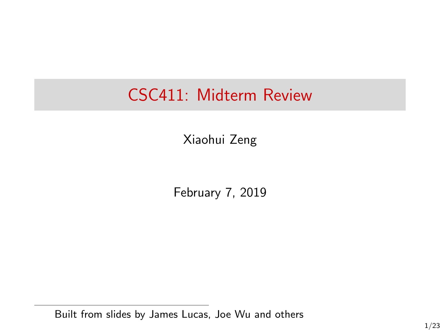# CSC411: Midterm Review

Xiaohui Zeng

February 7, 2019

Built from slides by James Lucas, Joe Wu and others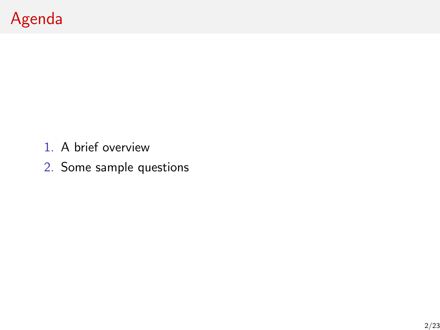# Agenda

- 1. A brief overview
- 2. Some sample questions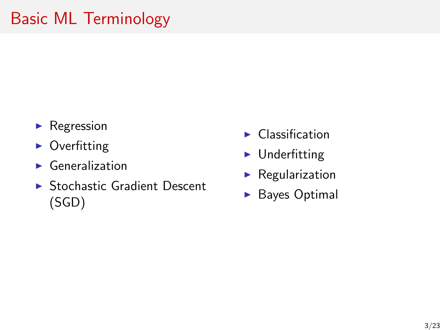# Basic ML Terminology

- $\blacktriangleright$  Regression
- $\triangleright$  Overfitting
- $\blacktriangleright$  Generalization
- $\triangleright$  Stochastic Gradient Descent (SGD)
- $\blacktriangleright$  Classification
- $\blacktriangleright$  Underfitting
- $\blacktriangleright$  Regularization
- $\blacktriangleright$  Bayes Optimal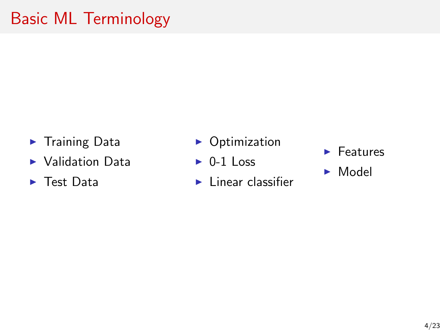# Basic ML Terminology

- $\blacktriangleright$  Training Data
- $\blacktriangleright$  Validation Data
- $\blacktriangleright$  Test Data
- $\triangleright$  Optimization
- $\triangleright$  0-1 Loss
- $\blacktriangleright$  Linear classifier
- $\blacktriangleright$  Features
- $\blacktriangleright$  Model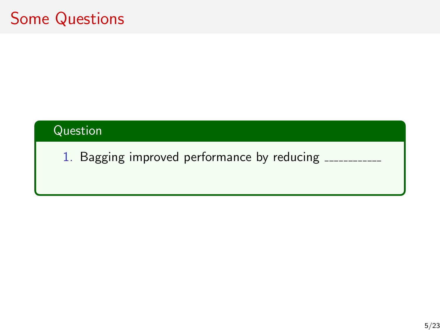#### Question

1. Bagging improved performance by reducing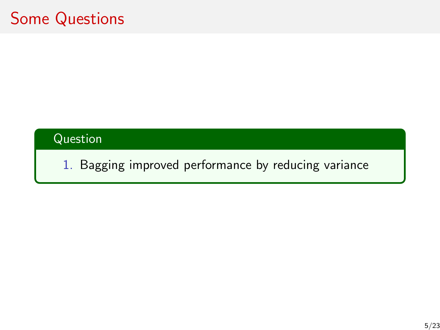#### Question

1. Bagging improved performance by reducing variance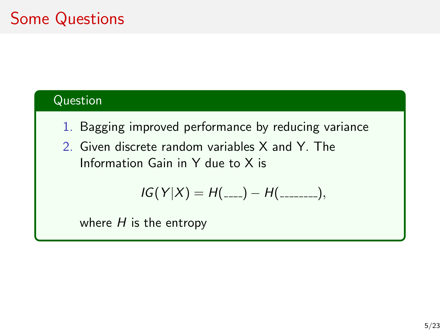#### Question

- 1. Bagging improved performance by reducing variance
- 2. Given discrete random variables X and Y. The Information Gain in Y due to X is

$$
IG(Y|X) = H(\_---) - H(\_---),
$$

where  $H$  is the entropy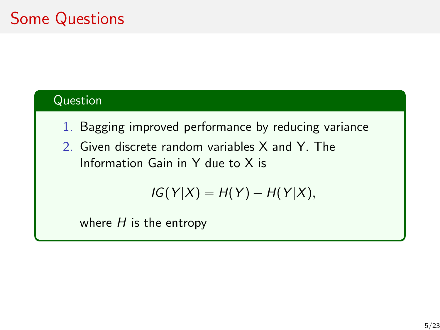#### Question

- 1. Bagging improved performance by reducing variance
- 2. Given discrete random variables X and Y. The Information Gain in Y due to X is

$$
IG(Y|X) = H(Y) - H(Y|X),
$$

where  $H$  is the entropy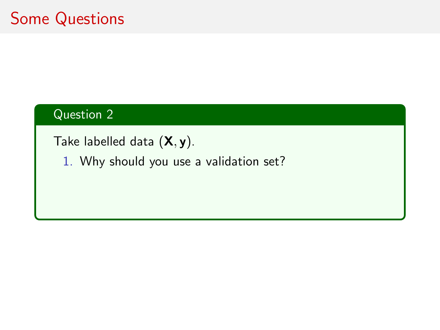#### Question 2

Take labelled data  $(X, y)$ .

1. Why should you use a validation set?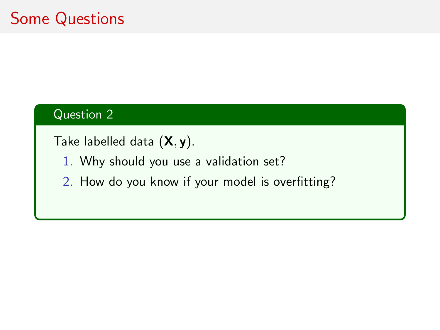#### Question 2

Take labelled data  $(X, y)$ .

- 1. Why should you use a validation set?
- 2. How do you know if your model is overfitting?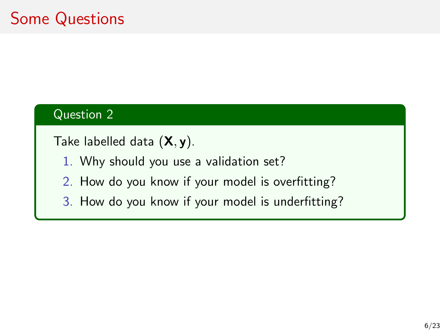#### Question 2

Take labelled data  $(X, y)$ .

- 1. Why should you use a validation set?
- 2. How do you know if your model is overfitting?
- 3. How do you know if your model is underfitting?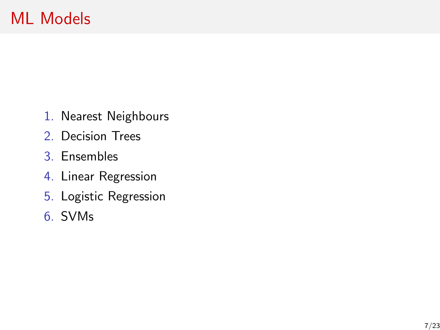- 1. Nearest Neighbours
- 2. Decision Trees
- 3. Ensembles
- 4. Linear Regression
- 5. Logistic Regression
- 6. SVMs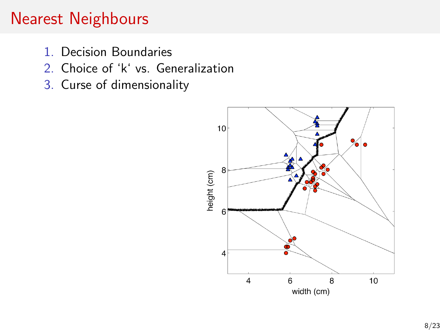### Nearest Neighbours

- 1. Decision Boundaries
- 2. Choice of 'k' vs. Generalization
- 3. Curse of dimensionality

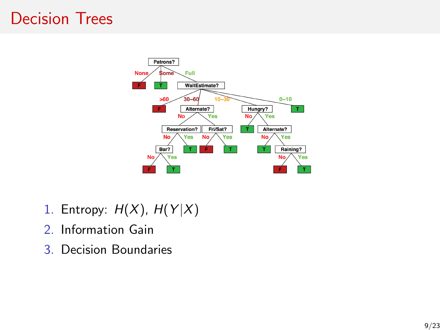### Decision Trees



- 1. Entropy:  $H(X)$ ,  $H(Y|X)$
- 2. Information Gain
- 3. Decision Boundaries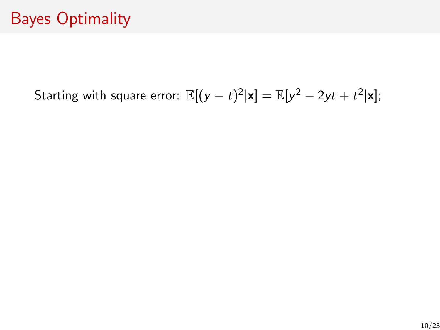Starting with square error:  $\mathbb{E}[(y-t)^2|\mathbf{x}] = \mathbb{E}[y^2-2yt+t^2|\mathbf{x}]$ ;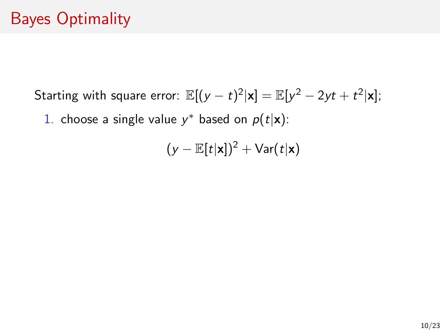Starting with square error:  $\mathbb{E}[(y-t)^2|\mathbf{x}] = \mathbb{E}[y^2-2yt+t^2|\mathbf{x}]$ ;

1. choose a single value  $y^*$  based on  $p(t|\mathbf{x})$ :

$$
(y - \mathbb{E}[t|\mathbf{x}])^2 + \text{Var}(t|\mathbf{x})
$$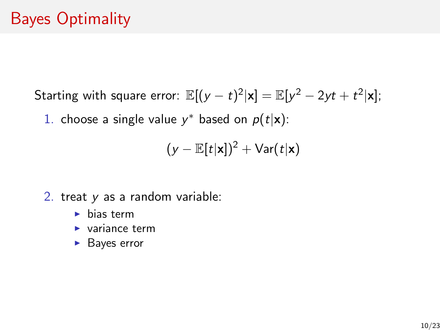Starting with square error:  $\mathbb{E}[(y-t)^2|\mathbf{x}] = \mathbb{E}[y^2-2yt+t^2|\mathbf{x}]$ ;

1. choose a single value  $y^*$  based on  $p(t|\mathbf{x})$ :

$$
(y - \mathbb{E}[t|\mathbf{x}])^2 + \text{Var}(t|\mathbf{x})
$$

- 2. treat y as a random variable:
	- $\blacktriangleright$  bias term
	- $\blacktriangleright$  variance term
	- $\blacktriangleright$  Bayes error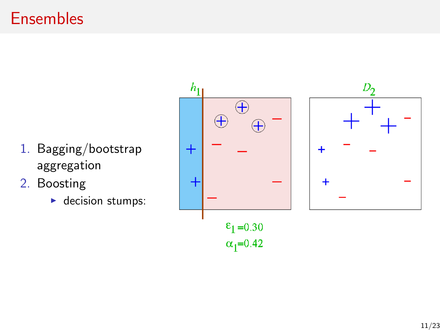### Ensembles

- 1. Bagging/bootstrap aggregation
- 2. Boosting
	- $\blacktriangleright$  decision stumps:



D<sub>2</sub>

 $\ddot{}$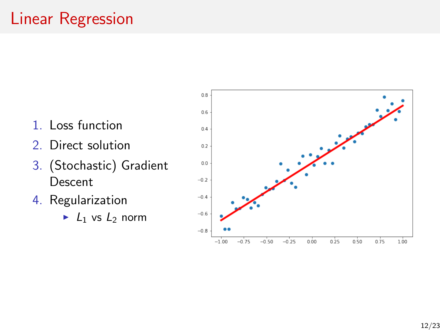# Linear Regression

- 1. Loss function
- 2. Direct solution
- 3. (Stochastic) Gradient Descent
- 4. Regularization
	- $\blacktriangleright$  L<sub>1</sub> vs L<sub>2</sub> norm

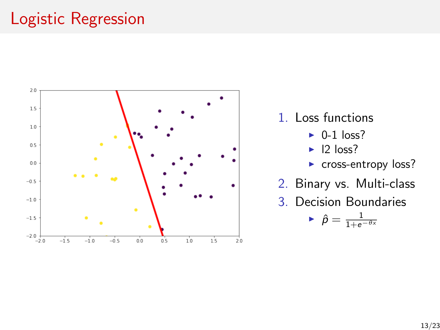# Logistic Regression



- 1. Loss functions
	- $\triangleright$  0-1 loss?
	- $\blacktriangleright$  12 loss?
	- ► cross-entropy loss?
- 2. Binary vs. Multi-class
- 3. Decision Boundaries

$$
\textcolor{black}{\blacktriangleright} \; \hat{\rho} = \tfrac{1}{1+\mathrm{e}^{-\theta x}}
$$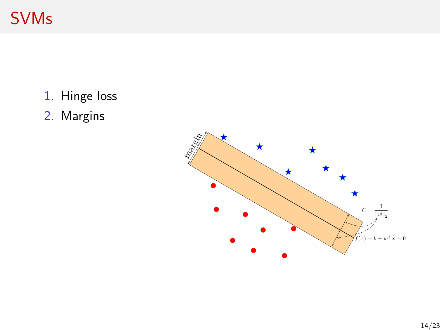# SVMs

- 1. Hinge loss
- 2. Margins

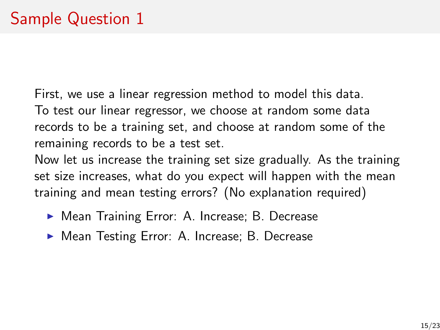First, we use a linear regression method to model this data. To test our linear regressor, we choose at random some data records to be a training set, and choose at random some of the remaining records to be a test set.

Now let us increase the training set size gradually. As the training set size increases, what do you expect will happen with the mean training and mean testing errors? (No explanation required)

- ▶ Mean Training Error: A. Increase; B. Decrease
- ▶ Mean Testing Error: A. Increase; B. Decrease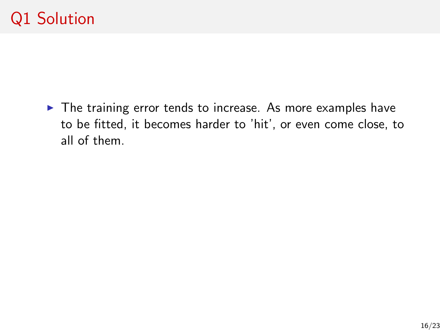$\blacktriangleright$  The training error tends to increase. As more examples have to be fitted, it becomes harder to 'hit', or even come close, to all of them.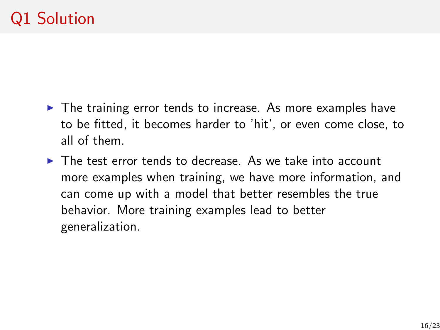- $\triangleright$  The training error tends to increase. As more examples have to be fitted, it becomes harder to 'hit', or even come close, to all of them.
- $\triangleright$  The test error tends to decrease. As we take into account more examples when training, we have more information, and can come up with a model that better resembles the true behavior. More training examples lead to better generalization.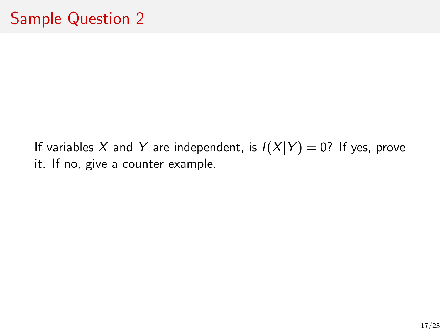If variables X and Y are independent, is  $I(X|Y) = 0$ ? If yes, prove it. If no, give a counter example.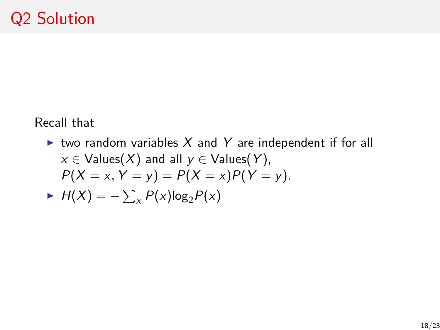Recall that

ighthrow random variables X and Y are independent if for all  $x \in$  Values(X) and all  $y \in$  Values(Y),  $P(X = x, Y = y) = P(X = x)P(Y = y).$  $H(X) = -\sum_{x} P(x) \log_2 P(x)$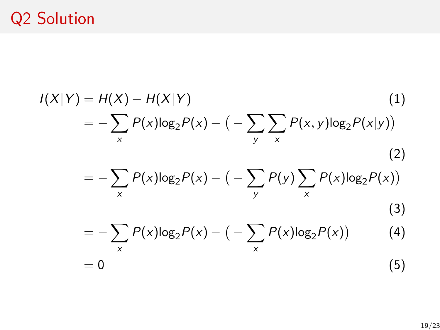# Q2 Solution

$$
I(X|Y) = H(X) - H(X|Y)
$$
(1)  
=  $-\sum_{x} P(x) \log_2 P(x) - (-\sum_{y} \sum_{x} P(x, y) \log_2 P(x|y))$ (2)  
=  $-\sum_{x} P(x) \log_2 P(x) - (-\sum_{y} P(y) \sum_{x} P(x) \log_2 P(x))$ (3)  
=  $-\sum_{x} P(x) \log_2 P(x) - (-\sum_{x} P(x) \log_2 P(x))$ (4)  
= 0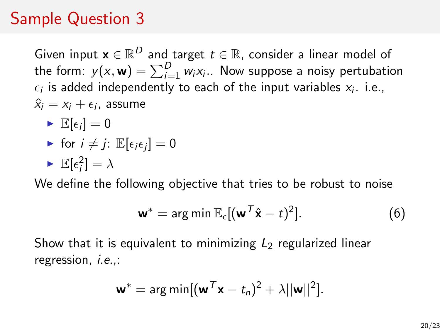# Sample Question 3

Given input  $\mathbf{x} \in \mathbb{R}^D$  and target  $t \in \mathbb{R}$ , consider a linear model of the form:  $y(x, \mathbf{w}) = \sum_{i=1}^{D} w_i x_i$ .. Now suppose a noisy pertubation  $\epsilon_i$  is added independently to each of the input variables  $x_i$ . i.e.,  $\hat{x}_i = x_i + \epsilon_i$ , assume

- $\blacktriangleright \mathbb{E}[\epsilon_i] = 0$
- for  $i \neq j$ :  $\mathbb{E}[\epsilon_i \epsilon_j] = 0$
- $\blacktriangleright \mathbb{E}[\epsilon_i^2] = \lambda$

We define the following objective that tries to be robust to noise

$$
\mathbf{w}^* = \arg\min \mathbb{E}_{\epsilon}[(\mathbf{w}^T\hat{\mathbf{x}} - t)^2]. \tag{6}
$$

Show that it is equivalent to minimizing  $L_2$  regularized linear regression, i.e.,:

$$
\mathbf{w}^* = \arg\min[(\mathbf{w}^T\mathbf{x} - t_n)^2 + \lambda ||\mathbf{w}||^2].
$$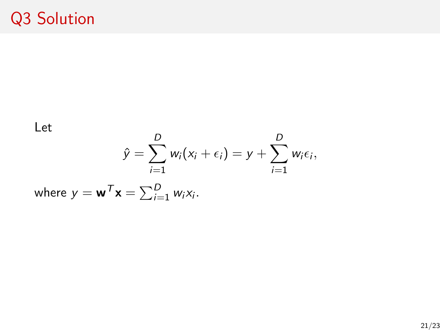### Q3 Solution

Let

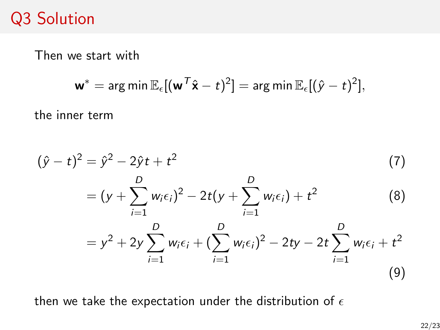### Q3 Solution

Then we start with

$$
\mathbf{w}^* = \arg \min \mathbb{E}_{\epsilon} [(\mathbf{w}^{\mathcal{T}} \hat{\mathbf{x}} - t)^2] = \arg \min \mathbb{E}_{\epsilon} [(\hat{y} - t)^2],
$$

the inner term

$$
(\hat{y} - t)^2 = \hat{y}^2 - 2\hat{y}t + t^2
$$
\n
$$
= (y + \sum_{i=1}^D w_i \epsilon_i)^2 - 2t(y + \sum_{i=1}^D w_i \epsilon_i) + t^2
$$
\n
$$
= y^2 + 2y \sum_{i=1}^D w_i \epsilon_i + (\sum_{i=1}^D w_i \epsilon_i)^2 - 2ty - 2t \sum_{i=1}^D w_i \epsilon_i + t^2
$$
\n(9)

then we take the expectation under the distribution of  $\epsilon$